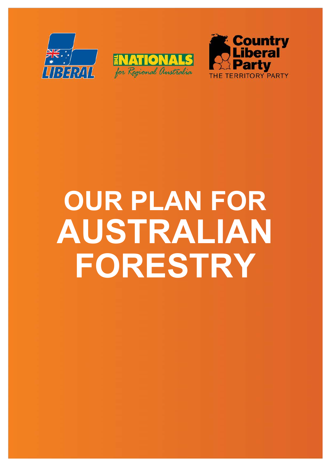





# **OUR PLAN FOR AUSTRALIAN FORESTRY**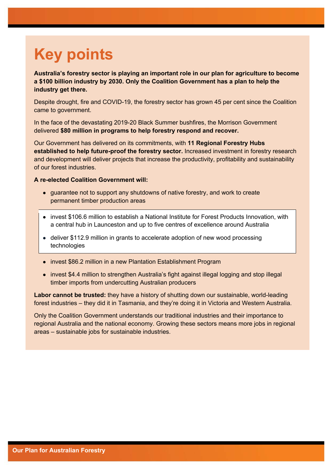## **Key points**

**Australia's forestry sector is playing an important role in our plan for agriculture to become a \$100 billion industry by 2030. Only the Coalition Government has a plan to help the industry get there.**

Despite drought, fire and COVID-19, the forestry sector has grown 45 per cent since the Coalition came to government.

In the face of the devastating 2019-20 Black Summer bushfires, the Morrison Government delivered **\$80 million in programs to help forestry respond and recover.**

Our Government has delivered on its commitments, with **11 Regional Forestry Hubs established to help future-proof the forestry sector.** Increased investment in forestry research and development will deliver projects that increase the productivity, profitability and sustainability of our forest industries.

#### **A re-elected Coalition Government will:**

- quarantee not to support any shutdowns of native forestry, and work to create permanent timber production areas
- invest \$106.6 million to establish a National Institute for Forest Products Innovation, with a central hub in Launceston and up to five centres of excellence around Australia
- deliver \$112.9 million in grants to accelerate adoption of new wood processing technologies
- invest \$86.2 million in a new Plantation Establishment Program
- invest \$4.4 million to strengthen Australia's fight against illegal logging and stop illegal timber imports from undercutting Australian producers

**Labor cannot be trusted:** they have a history of shutting down our sustainable, world-leading forest industries – they did it in Tasmania, and they're doing it in Victoria and Western Australia.

Only the Coalition Government understands our traditional industries and their importance to regional Australia and the national economy. Growing these sectors means more jobs in regional areas – sustainable jobs for sustainable industries.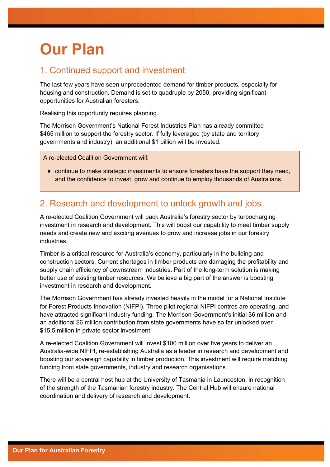### **Our Plan**

#### 1. Continued support and investment

The last few years have seen unprecedented demand for timber products, especially for housing and construction. Demand is set to quadruple by 2050, providing significant opportunities for Australian foresters.

Realising this opportunity requires planning.

The Morrison Government's National Forest Industries Plan has already committed \$465 million to support the forestry sector. If fully leveraged (by state and territory governments and industry), an additional \$1 billion will be invested.

A re-elected Coalition Government will:

• continue to make strategic investments to ensure foresters have the support they need, and the confidence to invest, grow and continue to employ thousands of Australians.

### 2. Research and development to unlock growth and jobs

A re-elected Coalition Government will back Australia's forestry sector by turbocharging investment in research and development. This will boost our capability to meet timber supply needs and create new and exciting avenues to grow and increase jobs in our forestry industries.

Timber is a critical resource for Australia's economy, particularly in the building and construction sectors. Current shortages in timber products are damaging the profitability and supply chain efficiency of downstream industries. Part of the long-term solution is making better use of existing timber resources. We believe a big part of the answer is boosting investment in research and development.

The Morrison Government has already invested heavily in the model for a National Institute for Forest Products Innovation (NIFPI). Three pilot regional NIFPI centres are operating, and have attracted significant industry funding. The Morrison Government's initial \$6 million and an additional \$6 million contribution from state governments have so far unlocked over \$15.5 million in private sector investment.

A re-elected Coalition Government will invest \$100 million over five years to deliver an Australia-wide NIFPI, re-establishing Australia as a leader in research and development and boosting our sovereign capability in timber production. This investment will require matching funding from state governments, industry and research organisations.

There will be a central host hub at the University of Tasmania in Launceston, in recognition of the strength of the Tasmanian forestry industry. The Central Hub will ensure national coordination and delivery of research and development.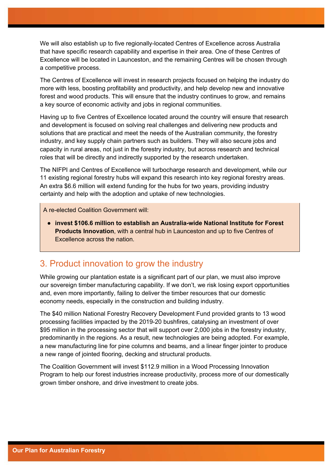We will also establish up to five regionally-located Centres of Excellence across Australia that have specific research capability and expertise in their area. One of these Centres of Excellence will be located in Launceston, and the remaining Centres will be chosen through a competitive process.

The Centres of Excellence will invest in research projects focused on helping the industry do more with less, boosting profitability and productivity, and help develop new and innovative forest and wood products. This will ensure that the industry continues to grow, and remains a key source of economic activity and jobs in regional communities.

Having up to five Centres of Excellence located around the country will ensure that research and development is focused on solving real challenges and delivering new products and solutions that are practical and meet the needs of the Australian community, the forestry industry, and key supply chain partners such as builders. They will also secure jobs and capacity in rural areas, not just in the forestry industry, but across research and technical roles that will be directly and indirectly supported by the research undertaken.

The NIFPI and Centres of Excellence will turbocharge research and development, while our 11 existing regional forestry hubs will expand this research into key regional forestry areas. An extra \$6.6 million will extend funding for the hubs for two years, providing industry certainty and help with the adoption and uptake of new technologies.

A re-elected Coalition Government will:

● **invest \$106.6 million to establish an Australia-wide National Institute for Forest Products Innovation**, with a central hub in Launceston and up to five Centres of Excellence across the nation.

#### 3. Product innovation to grow the industry

While growing our plantation estate is a significant part of our plan, we must also improve our sovereign timber manufacturing capability. If we don't, we risk losing export opportunities and, even more importantly, failing to deliver the timber resources that our domestic economy needs, especially in the construction and building industry.

The \$40 million National Forestry Recovery Development Fund provided grants to 13 wood processing facilities impacted by the 2019-20 bushfires, catalysing an investment of over \$95 million in the processing sector that will support over 2,000 jobs in the forestry industry, predominantly in the regions. As a result, new technologies are being adopted. For example, a new manufacturing line for pine columns and beams, and a linear finger jointer to produce a new range of jointed flooring, decking and structural products.

The Coalition Government will invest \$112.9 million in a Wood Processing Innovation Program to help our forest industries increase productivity, process more of our domestically grown timber onshore, and drive investment to create jobs.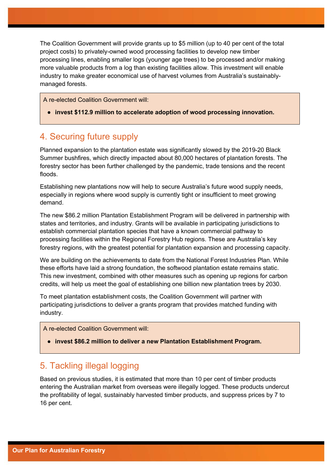The Coalition Government will provide grants up to \$5 million (up to 40 per cent of the total project costs) to privately-owned wood processing facilities to develop new timber processing lines, enabling smaller logs (younger age trees) to be processed and/or making more valuable products from a log than existing facilities allow. This investment will enable industry to make greater economical use of harvest volumes from Australia's sustainablymanaged forests.

A re-elected Coalition Government will:

● **invest \$112.9 million to accelerate adoption of wood processing innovation.**

#### 4. Securing future supply

Planned expansion to the plantation estate was significantly slowed by the 2019-20 Black Summer bushfires, which directly impacted about 80,000 hectares of plantation forests. The forestry sector has been further challenged by the pandemic, trade tensions and the recent floods.

Establishing new plantations now will help to secure Australia's future wood supply needs, especially in regions where wood supply is currently tight or insufficient to meet growing demand.

The new \$86.2 million Plantation Establishment Program will be delivered in partnership with states and territories, and industry. Grants will be available in participating jurisdictions to establish commercial plantation species that have a known commercial pathway to processing facilities within the Regional Forestry Hub regions. These are Australia's key forestry regions, with the greatest potential for plantation expansion and processing capacity.

We are building on the achievements to date from the National Forest Industries Plan. While these efforts have laid a strong foundation, the softwood plantation estate remains static. This new investment, combined with other measures such as opening up regions for carbon credits, will help us meet the goal of establishing one billion new plantation trees by 2030.

To meet plantation establishment costs, the Coalition Government will partner with participating jurisdictions to deliver a grants program that provides matched funding with industry.

A re-elected Coalition Government will:

● **invest \$86.2 million to deliver a new Plantation Establishment Program.**

#### 5. Tackling illegal logging

Based on previous studies, it is estimated that more than 10 per cent of timber products entering the Australian market from overseas were illegally logged. These products undercut the profitability of legal, sustainably harvested timber products, and suppress prices by 7 to 16 per cent.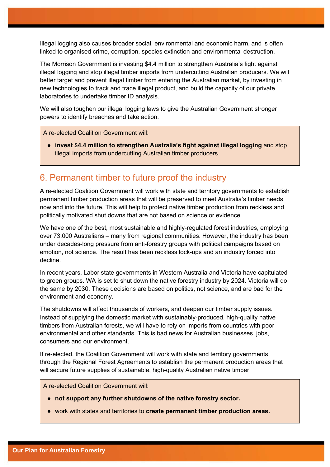Illegal logging also causes broader social, environmental and economic harm, and is often linked to organised crime, corruption, species extinction and environmental destruction.

The Morrison Government is investing \$4.4 million to strengthen Australia's fight against illegal logging and stop illegal timber imports from undercutting Australian producers. We will better target and prevent illegal timber from entering the Australian market, by investing in new technologies to track and trace illegal product, and build the capacity of our private laboratories to undertake timber ID analysis.

We will also toughen our illegal logging laws to give the Australian Government stronger powers to identify breaches and take action.

A re-elected Coalition Government will:

● **invest \$4.4 million to strengthen Australia's fight against illegal logging** and stop illegal imports from undercutting Australian timber producers.

#### 6. Permanent timber to future proof the industry

A re-elected Coalition Government will work with state and territory governments to establish permanent timber production areas that will be preserved to meet Australia's timber needs now and into the future. This will help to protect native timber production from reckless and politically motivated shut downs that are not based on science or evidence.

We have one of the best, most sustainable and highly-regulated forest industries, employing over 73,000 Australians – many from regional communities. However, the industry has been under decades-long pressure from anti-forestry groups with political campaigns based on emotion, not science. The result has been reckless lock-ups and an industry forced into decline.

In recent years, Labor state governments in Western Australia and Victoria have capitulated to green groups. WA is set to shut down the native forestry industry by 2024. Victoria will do the same by 2030. These decisions are based on politics, not science, and are bad for the environment and economy.

The shutdowns will affect thousands of workers, and deepen our timber supply issues. Instead of supplying the domestic market with sustainably-produced, high-quality native timbers from Australian forests, we will have to rely on imports from countries with poor environmental and other standards. This is bad news for Australian businesses, jobs, consumers and our environment.

If re-elected, the Coalition Government will work with state and territory governments through the Regional Forest Agreements to establish the permanent production areas that will secure future supplies of sustainable, high-quality Australian native timber.

A re-elected Coalition Government will:

- **not support any further shutdowns of the native forestry sector.**
- work with states and territories to **create permanent timber production areas.**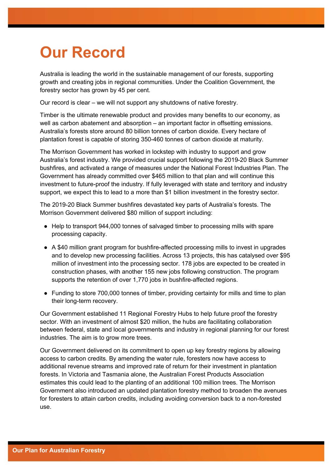### **Our Record**

Australia is leading the world in the sustainable management of our forests, supporting growth and creating jobs in regional communities. Under the Coalition Government, the forestry sector has grown by 45 per cent.

Our record is clear – we will not support any shutdowns of native forestry.

Timber is the ultimate renewable product and provides many benefits to our economy, as well as carbon abatement and absorption – an important factor in offsetting emissions. Australia's forests store around 80 billion tonnes of carbon dioxide. Every hectare of plantation forest is capable of storing 350-460 tonnes of carbon dioxide at maturity.

The Morrison Government has worked in lockstep with industry to support and grow Australia's forest industry. We provided crucial support following the 2019-20 Black Summer bushfires, and activated a range of measures under the National Forest Industries Plan. The Government has already committed over \$465 million to that plan and will continue this investment to future-proof the industry. If fully leveraged with state and territory and industry support, we expect this to lead to a more than \$1 billion investment in the forestry sector.

The 2019-20 Black Summer bushfires devastated key parts of Australia's forests. The Morrison Government delivered \$80 million of support including:

- Help to transport 944,000 tonnes of salvaged timber to processing mills with spare processing capacity.
- A \$40 million grant program for bushfire-affected processing mills to invest in upgrades and to develop new processing facilities. Across 13 projects, this has catalysed over \$95 million of investment into the processing sector. 178 jobs are expected to be created in construction phases, with another 155 new jobs following construction. The program supports the retention of over 1,770 jobs in bushfire-affected regions.
- Funding to store 700,000 tonnes of timber, providing certainty for mills and time to plan their long-term recovery.

Our Government established 11 Regional Forestry Hubs to help future proof the forestry sector. With an investment of almost \$20 million, the hubs are facilitating collaboration between federal, state and local governments and industry in regional planning for our forest industries. The aim is to grow more trees.

Our Government delivered on its commitment to open up key forestry regions by allowing access to carbon credits. By amending the water rule, foresters now have access to additional revenue streams and improved rate of return for their investment in plantation forests. In Victoria and Tasmania alone, the Australian Forest Products Association estimates this could lead to the planting of an additional 100 million trees. The Morrison Government also introduced an updated plantation forestry method to broaden the avenues for foresters to attain carbon credits, including avoiding conversion back to a non-forested use.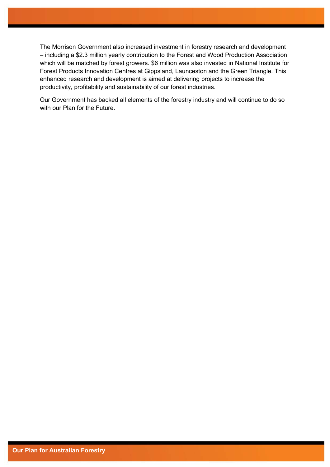The Morrison Government also increased investment in forestry research and development – including a \$2.3 million yearly contribution to the Forest and Wood Production Association, which will be matched by forest growers. \$6 million was also invested in National Institute for Forest Products Innovation Centres at Gippsland, Launceston and the Green Triangle. This enhanced research and development is aimed at delivering projects to increase the productivity, profitability and sustainability of our forest industries.

Our Government has backed all elements of the forestry industry and will continue to do so with our Plan for the Future.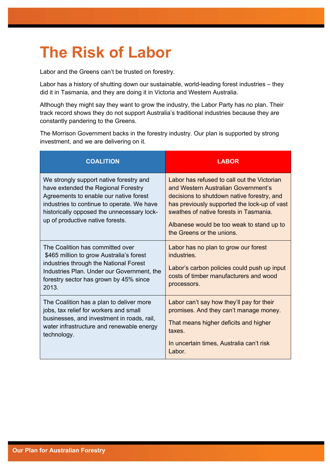### **The Risk of Labor**

Labor and the Greens can't be trusted on forestry.

Labor has a history of shutting down our sustainable, world-leading forest industries – they did it in Tasmania, and they are doing it in Victoria and Western Australia.

Although they might say they want to grow the industry, the Labor Party has no plan. Their track record shows they do not support Australia's traditional industries because they are constantly pandering to the Greens.

The Morrison Government backs in the forestry industry. Our plan is supported by strong investment, and we are delivering on it.

| <b>COALITION</b>                                                                                                                                                                                                                                         | <b>LABOR</b>                                                                                                                                                                                                                                                                                         |
|----------------------------------------------------------------------------------------------------------------------------------------------------------------------------------------------------------------------------------------------------------|------------------------------------------------------------------------------------------------------------------------------------------------------------------------------------------------------------------------------------------------------------------------------------------------------|
| We strongly support native forestry and<br>have extended the Regional Forestry<br>Agreements to enable our native forest<br>industries to continue to operate. We have<br>historically opposed the unnecessary lock-<br>up of productive native forests. | Labor has refused to call out the Victorian<br>and Western Australian Government's<br>decisions to shutdown native forestry, and<br>has previously supported the lock-up of vast<br>swathes of native forests in Tasmania.<br>Albanese would be too weak to stand up to<br>the Greens or the unions. |
| The Coalition has committed over<br>\$465 million to grow Australia's forest<br>industries through the National Forest<br>Industries Plan. Under our Government, the<br>forestry sector has grown by 45% since<br>2013.                                  | Labor has no plan to grow our forest<br>industries.<br>Labor's carbon policies could push up input<br>costs of timber manufacturers and wood<br>processors.                                                                                                                                          |
| The Coalition has a plan to deliver more<br>jobs, tax relief for workers and small<br>businesses, and investment in roads, rail,<br>water infrastructure and renewable energy<br>technology.                                                             | Labor can't say how they'll pay for their<br>promises. And they can't manage money.<br>That means higher deficits and higher<br>taxes.<br>In uncertain times, Australia can't risk<br>Labor.                                                                                                         |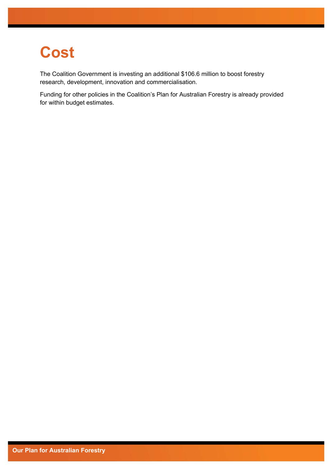### **Cost**

The Coalition Government is investing an additional \$106.6 million to boost forestry research, development, innovation and commercialisation.

Funding for other policies in the Coalition's Plan for Australian Forestry is already provided for within budget estimates.